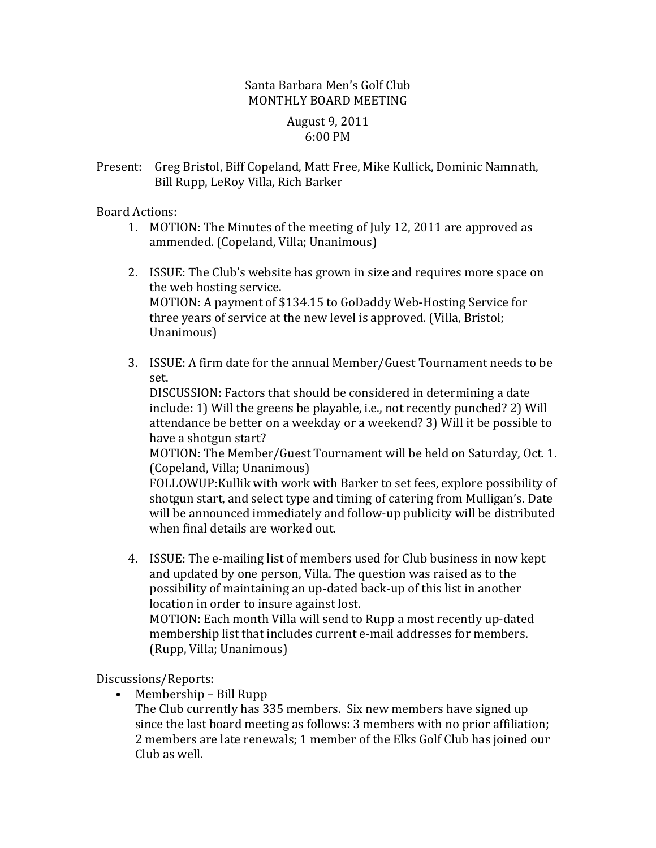## Santa Barbara Men's Golf Club MONTHLY BOARD MEETING

## August 9, 2011 6:00 PM

Present: Greg Bristol, Biff Copeland, Matt Free, Mike Kullick, Dominic Namnath, Bill Rupp, LeRoy Villa, Rich Barker

Board Actions:

- 1. MOTION: The Minutes of the meeting of July 12, 2011 are approved as ammended. (Copeland, Villa; Unanimous)
- 2. ISSUE: The Club's website has grown in size and requires more space on the web hosting service. MOTION: A payment of \$134.15 to GoDaddy Web-Hosting Service for three years of service at the new level is approved. (Villa, Bristol; Unanimous)
- 3. ISSUE: A firm date for the annual Member/Guest Tournament needs to be set.

DISCUSSION: Factors that should be considered in determining a date include: 1) Will the greens be playable, i.e., not recently punched? 2) Will attendance be better on a weekday or a weekend? 3) Will it be possible to have a shotgun start?

MOTION: The Member/Guest Tournament will be held on Saturday, Oct. 1. (Copeland, Villa; Unanimous)

FOLLOWUP: Kullik with work with Barker to set fees, explore possibility of shotgun start, and select type and timing of catering from Mulligan's. Date will be announced immediately and follow-up publicity will be distributed when final details are worked out.

4. ISSUE: The e-mailing list of members used for Club business in now kept and updated by one person, Villa. The question was raised as to the possibility of maintaining an up-dated back-up of this list in another location in order to insure against lost. MOTION: Each month Villa will send to Rupp a most recently up-dated membership list that includes current e-mail addresses for members.

(Rupp, Villa; Unanimous)

Discussions/Reports:

• Membership – Bill Rupp

The Club currently has 335 members. Six new members have signed up since the last board meeting as follows: 3 members with no prior affiliation; 2 members are late renewals; 1 member of the Elks Golf Club has joined our Club as well.